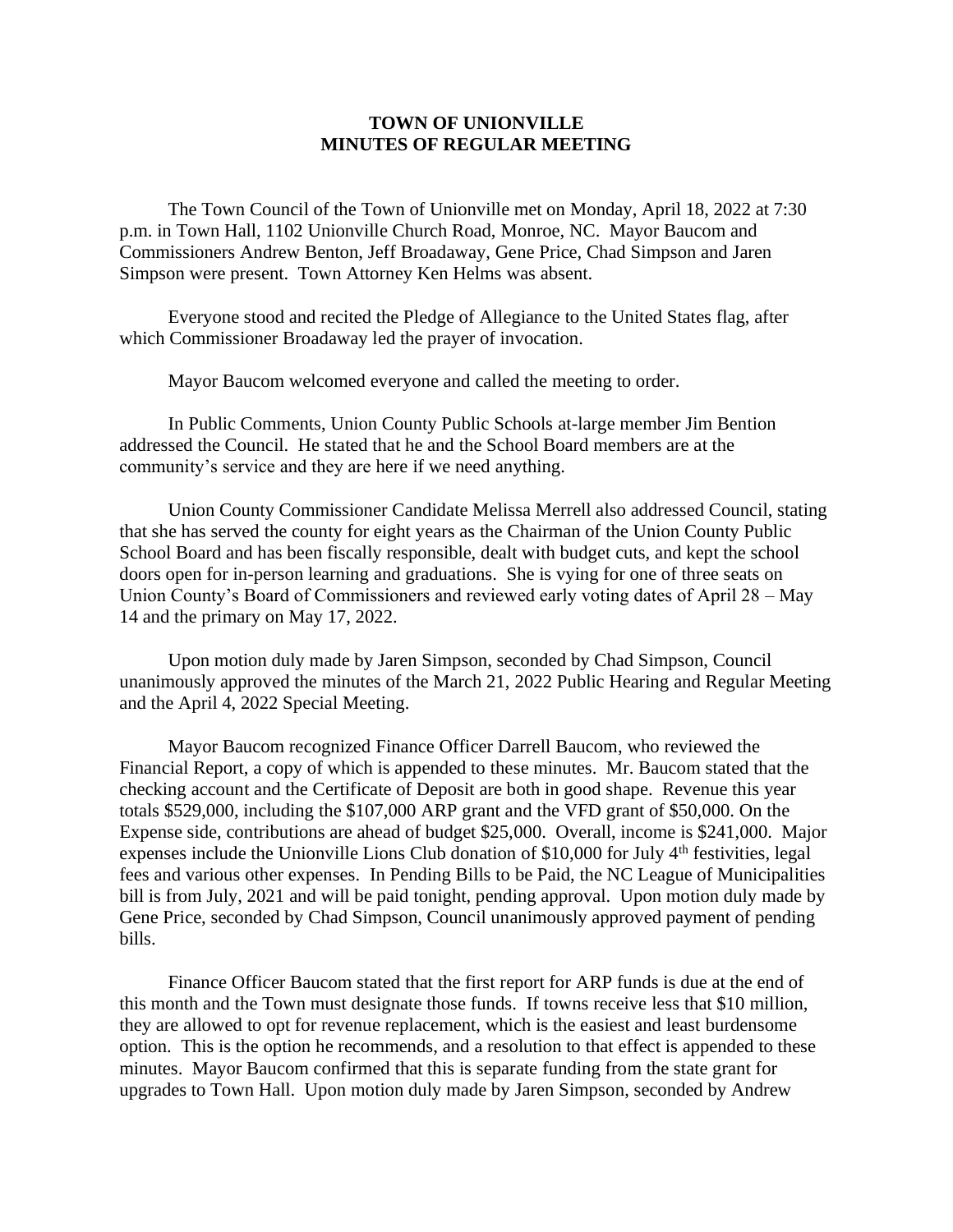## **TOWN OF UNIONVILLE MINUTES OF REGULAR MEETING**

The Town Council of the Town of Unionville met on Monday, April 18, 2022 at 7:30 p.m. in Town Hall, 1102 Unionville Church Road, Monroe, NC. Mayor Baucom and Commissioners Andrew Benton, Jeff Broadaway, Gene Price, Chad Simpson and Jaren Simpson were present. Town Attorney Ken Helms was absent.

Everyone stood and recited the Pledge of Allegiance to the United States flag, after which Commissioner Broadaway led the prayer of invocation.

Mayor Baucom welcomed everyone and called the meeting to order.

In Public Comments, Union County Public Schools at-large member Jim Bention addressed the Council. He stated that he and the School Board members are at the community's service and they are here if we need anything.

Union County Commissioner Candidate Melissa Merrell also addressed Council, stating that she has served the county for eight years as the Chairman of the Union County Public School Board and has been fiscally responsible, dealt with budget cuts, and kept the school doors open for in-person learning and graduations. She is vying for one of three seats on Union County's Board of Commissioners and reviewed early voting dates of April 28 – May 14 and the primary on May 17, 2022.

Upon motion duly made by Jaren Simpson, seconded by Chad Simpson, Council unanimously approved the minutes of the March 21, 2022 Public Hearing and Regular Meeting and the April 4, 2022 Special Meeting.

Mayor Baucom recognized Finance Officer Darrell Baucom, who reviewed the Financial Report, a copy of which is appended to these minutes. Mr. Baucom stated that the checking account and the Certificate of Deposit are both in good shape. Revenue this year totals \$529,000, including the \$107,000 ARP grant and the VFD grant of \$50,000. On the Expense side, contributions are ahead of budget \$25,000. Overall, income is \$241,000. Major expenses include the Unionville Lions Club donation of \$10,000 for July 4<sup>th</sup> festivities, legal fees and various other expenses. In Pending Bills to be Paid, the NC League of Municipalities bill is from July, 2021 and will be paid tonight, pending approval. Upon motion duly made by Gene Price, seconded by Chad Simpson, Council unanimously approved payment of pending bills.

Finance Officer Baucom stated that the first report for ARP funds is due at the end of this month and the Town must designate those funds. If towns receive less that \$10 million, they are allowed to opt for revenue replacement, which is the easiest and least burdensome option. This is the option he recommends, and a resolution to that effect is appended to these minutes. Mayor Baucom confirmed that this is separate funding from the state grant for upgrades to Town Hall. Upon motion duly made by Jaren Simpson, seconded by Andrew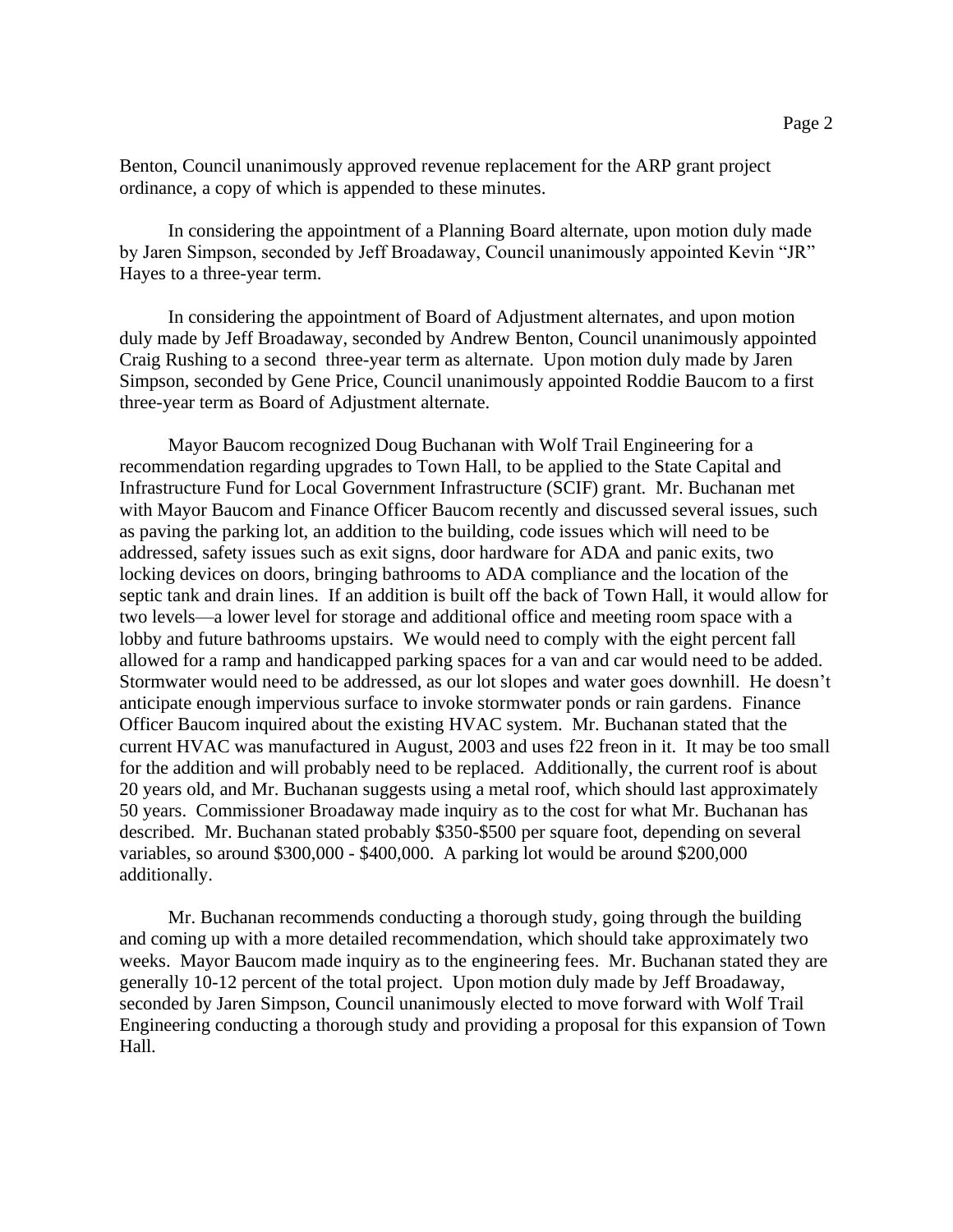Benton, Council unanimously approved revenue replacement for the ARP grant project ordinance, a copy of which is appended to these minutes.

In considering the appointment of a Planning Board alternate, upon motion duly made by Jaren Simpson, seconded by Jeff Broadaway, Council unanimously appointed Kevin "JR" Hayes to a three-year term.

In considering the appointment of Board of Adjustment alternates, and upon motion duly made by Jeff Broadaway, seconded by Andrew Benton, Council unanimously appointed Craig Rushing to a second three-year term as alternate. Upon motion duly made by Jaren Simpson, seconded by Gene Price, Council unanimously appointed Roddie Baucom to a first three-year term as Board of Adjustment alternate.

Mayor Baucom recognized Doug Buchanan with Wolf Trail Engineering for a recommendation regarding upgrades to Town Hall, to be applied to the State Capital and Infrastructure Fund for Local Government Infrastructure (SCIF) grant. Mr. Buchanan met with Mayor Baucom and Finance Officer Baucom recently and discussed several issues, such as paving the parking lot, an addition to the building, code issues which will need to be addressed, safety issues such as exit signs, door hardware for ADA and panic exits, two locking devices on doors, bringing bathrooms to ADA compliance and the location of the septic tank and drain lines. If an addition is built off the back of Town Hall, it would allow for two levels—a lower level for storage and additional office and meeting room space with a lobby and future bathrooms upstairs. We would need to comply with the eight percent fall allowed for a ramp and handicapped parking spaces for a van and car would need to be added. Stormwater would need to be addressed, as our lot slopes and water goes downhill. He doesn't anticipate enough impervious surface to invoke stormwater ponds or rain gardens. Finance Officer Baucom inquired about the existing HVAC system. Mr. Buchanan stated that the current HVAC was manufactured in August, 2003 and uses f22 freon in it. It may be too small for the addition and will probably need to be replaced. Additionally, the current roof is about 20 years old, and Mr. Buchanan suggests using a metal roof, which should last approximately 50 years. Commissioner Broadaway made inquiry as to the cost for what Mr. Buchanan has described. Mr. Buchanan stated probably \$350-\$500 per square foot, depending on several variables, so around \$300,000 - \$400,000. A parking lot would be around \$200,000 additionally.

Mr. Buchanan recommends conducting a thorough study, going through the building and coming up with a more detailed recommendation, which should take approximately two weeks. Mayor Baucom made inquiry as to the engineering fees. Mr. Buchanan stated they are generally 10-12 percent of the total project. Upon motion duly made by Jeff Broadaway, seconded by Jaren Simpson, Council unanimously elected to move forward with Wolf Trail Engineering conducting a thorough study and providing a proposal for this expansion of Town Hall.